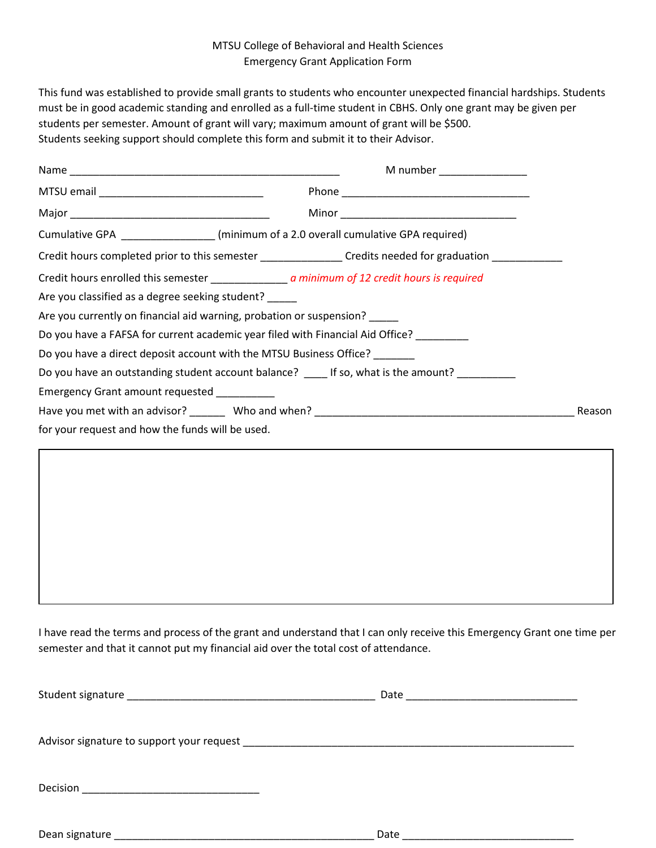## MTSU College of Behavioral and Health Sciences Emergency Grant Application Form

This fund was established to provide small grants to students who encounter unexpected financial hardships. Students must be in good academic standing and enrolled as a full-time student in CBHS. Only one grant may be given per students per semester. Amount of grant will vary; maximum amount of grant will be \$500. Students seeking support should complete this form and submit it to their Advisor.

|                                                                                                           | M number _______________ |
|-----------------------------------------------------------------------------------------------------------|--------------------------|
|                                                                                                           |                          |
|                                                                                                           |                          |
| Cumulative GPA ________________(minimum of a 2.0 overall cumulative GPA required)                         |                          |
| Credit hours completed prior to this semester ________________Credits needed for graduation _____________ |                          |
|                                                                                                           |                          |
| Are you classified as a degree seeking student? _____                                                     |                          |
| Are you currently on financial aid warning, probation or suspension? _____                                |                          |
| Do you have a FAFSA for current academic year filed with Financial Aid Office? ________                   |                          |
| Do you have a direct deposit account with the MTSU Business Office?                                       |                          |
| Do you have an outstanding student account balance? If so, what is the amount?                            |                          |
| Emergency Grant amount requested _________                                                                |                          |
|                                                                                                           | Reason                   |
| for your request and how the funds will be used.                                                          |                          |

I have read the terms and process of the grant and understand that I can only receive this Emergency Grant one time per semester and that it cannot put my financial aid over the total cost of attendance.

Dean signature \_\_\_\_\_\_\_\_\_\_\_\_\_\_\_\_\_\_\_\_\_\_\_\_\_\_\_\_\_\_\_\_\_\_\_\_\_\_\_\_\_\_\_\_ Date \_\_\_\_\_\_\_\_\_\_\_\_\_\_\_\_\_\_\_\_\_\_\_\_\_\_\_\_\_